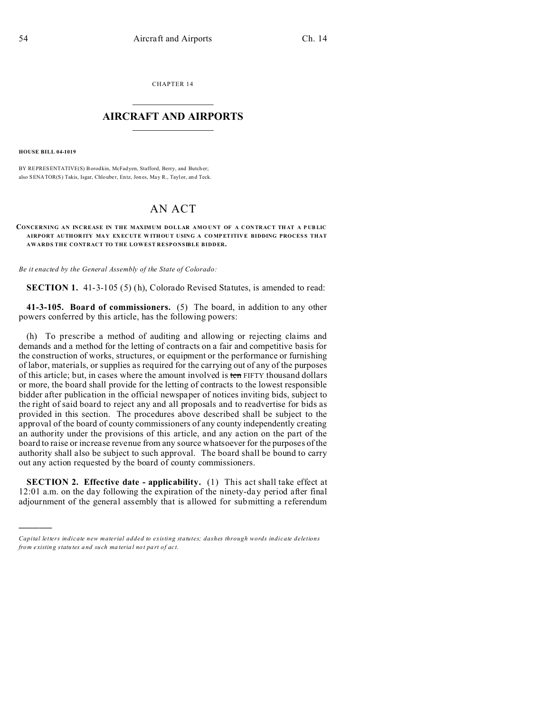CHAPTER 14  $\overline{\phantom{a}}$  , where  $\overline{\phantom{a}}$ 

## **AIRCRAFT AND AIRPORTS**  $\_$   $\_$   $\_$   $\_$   $\_$   $\_$   $\_$   $\_$   $\_$

**HOUSE BILL 04-1019**

)))))

BY REPRESENTATIVE(S) Borodkin, McFadyen, Stafford, Berry, and Butch er; also SENATOR(S) Takis, Isgar, Chlouber, Entz, Jones, May R., Taylor, and Teck.

## AN ACT

## **CONCERNING AN INCREASE IN THE MAXIMUM DOLLAR AMO UNT OF A CON TRACT TH AT A P UB LIC AIRPORT AUTHOR ITY MA Y EX EC UTE W ITHOU T USING A CO MP ETITIVE BIDDING PROCES S THAT AWARDS THE CONTRACT TO THE LOWEST RESPONSIBLE BIDDER.**

*Be it enacted by the General Assembly of the State of Colorado:*

**SECTION 1.** 41-3-105 (5) (h), Colorado Revised Statutes, is amended to read:

**41-3-105. Board of commissioners.** (5) The board, in addition to any other powers conferred by this article, has the following powers:

(h) To prescribe a method of auditing and allowing or rejecting claims and demands and a method for the letting of contracts on a fair and competitive basis for the construction of works, structures, or equipment or the performance or furnishing of labor, materials, or supplies as required for the carrying out of any of the purposes of this article; but, in cases where the amount involved is ten FIFTY thousand dollars or more, the board shall provide for the letting of contracts to the lowest responsible bidder after publication in the official newspaper of notices inviting bids, subject to the right of said board to reject any and all proposals and to readvertise for bids as provided in this section. The procedures above described shall be subject to the approval of the board of county commissioners of any county independently creating an authority under the provisions of this article, and any action on the part of the board to raise or increase revenue from any source whatsoever for the purposes of the authority shall also be subject to such approval. The board shall be bound to carry out any action requested by the board of county commissioners.

**SECTION 2. Effective date - applicability.** (1) This act shall take effect at 12:01 a.m. on the day following the expiration of the ninety-day period after final adjournment of the general assembly that is allowed for submitting a referendum

*Capital letters indicate new material added to existing statutes; dashes through words indicate deletions from e xistin g statu tes a nd such ma teria l no t pa rt of ac t.*